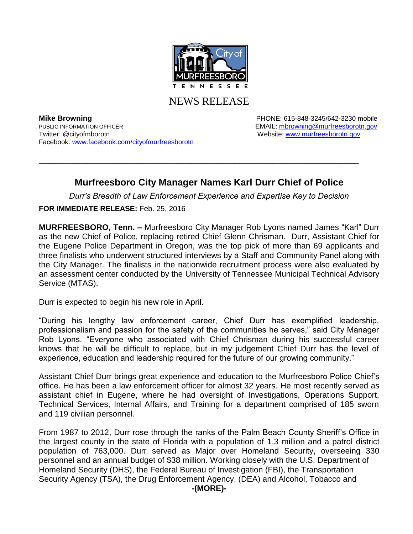

NEWS RELEASE

**Mike Browning Mike Browning PHONE: 615-848-3245/642-3230 mobile** PUBLIC INFORMATION OFFICER **EMAIL:** [mbrowning@murfreesborotn.gov](mailto:mbrowning@murfreesborotn.gov) Twitter: @cityofmborotn Website: [www.murfreesborotn.gov](http://www.murfreesborotn.gov/) Facebook: [www.facebook.com/cityofmurfreesborotn](http://www.facebook.com/cityofmurfreesborotn) 

## **Murfreesboro City Manager Names Karl Durr Chief of Police**

**\_\_\_\_\_\_\_\_\_\_\_\_\_\_\_\_\_\_\_\_\_\_\_\_\_\_\_\_\_\_\_\_\_\_\_\_\_\_\_\_\_\_\_\_\_\_\_\_\_\_\_\_\_\_\_\_\_\_\_\_\_\_\_\_\_\_\_**

*Durr's Breadth of Law Enforcement Experience and Expertise Key to Decision*

**FOR IMMEDIATE RELEASE:** Feb. 25, 2016

**MURFREESBORO, Tenn. –** Murfreesboro City Manager Rob Lyons named James "Karl" Durr as the new Chief of Police, replacing retired Chief Glenn Chrisman. Durr, Assistant Chief for the Eugene Police Department in Oregon, was the top pick of more than 69 applicants and three finalists who underwent structured interviews by a Staff and Community Panel along with the City Manager. The finalists in the nationwide recruitment process were also evaluated by an assessment center conducted by the University of Tennessee Municipal Technical Advisory Service (MTAS).

Durr is expected to begin his new role in April.

"During his lengthy law enforcement career, Chief Durr has exemplified leadership, professionalism and passion for the safety of the communities he serves," said City Manager Rob Lyons. "Everyone who associated with Chief Chrisman during his successful career knows that he will be difficult to replace, but in my judgement Chief Durr has the level of experience, education and leadership required for the future of our growing community."

Assistant Chief Durr brings great experience and education to the Murfreesboro Police Chief's office. He has been a law enforcement officer for almost 32 years. He most recently served as assistant chief in Eugene, where he had oversight of Investigations, Operations Support, Technical Services, Internal Affairs, and Training for a department comprised of 185 sworn and 119 civilian personnel.

From 1987 to 2012, Durr rose through the ranks of the Palm Beach County Sheriff's Office in the largest county in the state of Florida with a population of 1.3 million and a patrol district population of 763,000. Durr served as Major over Homeland Security, overseeing 330 personnel and an annual budget of \$38 million. Working closely with the U.S. Department of Homeland Security (DHS), the Federal Bureau of Investigation (FBI), the Transportation Security Agency (TSA), the Drug Enforcement Agency, (DEA) and Alcohol, Tobacco and